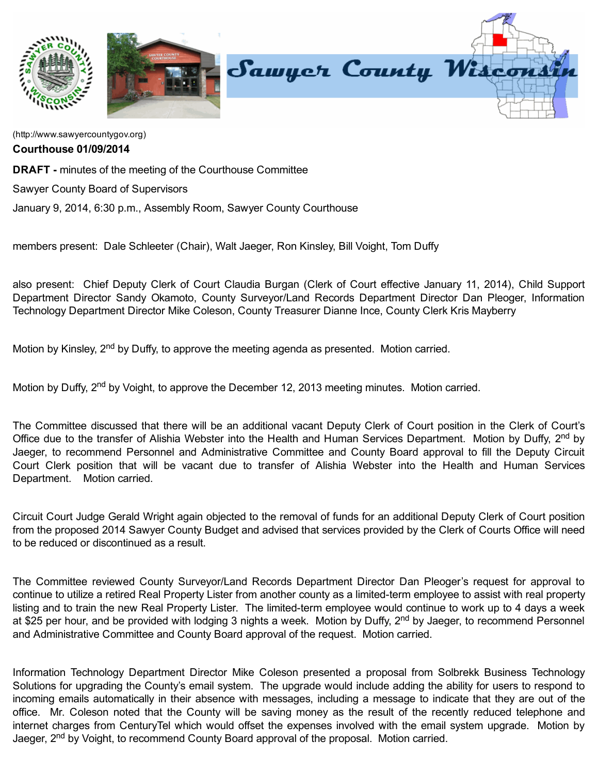

[\(http://www.sawyercountygov.org\)](http://www.sawyercountygov.org/)

Courthouse 01/09/2014

DRAFT - minutes of the meeting of the Courthouse Committee

Sawyer County Board of Supervisors

January 9, 2014, 6:30 p.m., Assembly Room, Sawyer County Courthouse

members present: Dale Schleeter (Chair), Walt Jaeger, Ron Kinsley, Bill Voight, Tom Duffy

also present: Chief Deputy Clerk of Court Claudia Burgan (Clerk of Court effective January 11, 2014), Child Support Department Director Sandy Okamoto, County Surveyor/Land Records Department Director Dan Pleoger, Information Technology Department Director Mike Coleson, County Treasurer Dianne Ince, County Clerk Kris Mayberry

Motion by Kinsley, 2<sup>nd</sup> by Duffy, to approve the meeting agenda as presented. Motion carried.

Motion by Duffy, 2<sup>nd</sup> by Voight, to approve the December 12, 2013 meeting minutes. Motion carried.

The Committee discussed that there will be an additional vacant Deputy Clerk of Court position in the Clerk of Court's Office due to the transfer of Alishia Webster into the Health and Human Services Department. Motion by Duffy, 2<sup>nd</sup> by Jaeger, to recommend Personnel and Administrative Committee and County Board approval to fill the Deputy Circuit Court Clerk position that will be vacant due to transfer of Alishia Webster into the Health and Human Services Department. Motion carried.

Circuit Court Judge Gerald Wright again objected to the removal of funds for an additional Deputy Clerk of Court position from the proposed 2014 Sawyer County Budget and advised that services provided by the Clerk of Courts Office will need to be reduced or discontinued as a result.

The Committee reviewed County Surveyor/Land Records Department Director Dan Pleoger's request for approval to continue to utilize a retired Real Property Lister from another county as a limited-term employee to assist with real property listing and to train the new Real Property Lister. The limited-term employee would continue to work up to 4 days a week at \$25 per hour, and be provided with lodging 3 nights a week. Motion by Duffy, 2<sup>nd</sup> by Jaeger, to recommend Personnel and Administrative Committee and County Board approval of the request. Motion carried.

Information Technology Department Director Mike Coleson presented a proposal from Solbrekk Business Technology Solutions for upgrading the County's email system. The upgrade would include adding the ability for users to respond to incoming emails automatically in their absence with messages, including a message to indicate that they are out of the office. Mr. Coleson noted that the County will be saving money as the result of the recently reduced telephone and internet charges from CenturyTel which would offset the expenses involved with the email system upgrade. Motion by Jaeger, 2<sup>nd</sup> by Voight, to recommend County Board approval of the proposal. Motion carried.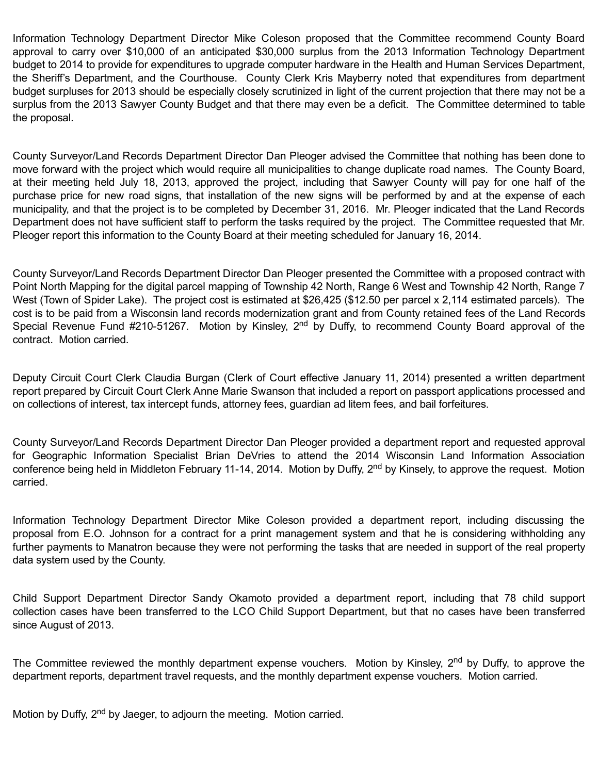Information Technology Department Director Mike Coleson proposed that the Committee recommend County Board approval to carry over \$10,000 of an anticipated \$30,000 surplus from the 2013 Information Technology Department budget to 2014 to provide for expenditures to upgrade computer hardware in the Health and Human Services Department, the Sheriff's Department, and the Courthouse. County Clerk Kris Mayberry noted that expenditures from department budget surpluses for 2013 should be especially closely scrutinized in light of the current projection that there may not be a surplus from the 2013 Sawyer County Budget and that there may even be a deficit. The Committee determined to table the proposal.

County Surveyor/Land Records Department Director Dan Pleoger advised the Committee that nothing has been done to move forward with the project which would require all municipalities to change duplicate road names. The County Board, at their meeting held July 18, 2013, approved the project, including that Sawyer County will pay for one half of the purchase price for new road signs, that installation of the new signs will be performed by and at the expense of each municipality, and that the project is to be completed by December 31, 2016. Mr. Pleoger indicated that the Land Records Department does not have sufficient staff to perform the tasks required by the project. The Committee requested that Mr. Pleoger report this information to the County Board at their meeting scheduled for January 16, 2014.

County Surveyor/Land Records Department Director Dan Pleoger presented the Committee with a proposed contract with Point North Mapping for the digital parcel mapping of Township 42 North, Range 6 West and Township 42 North, Range 7 West (Town of Spider Lake). The project cost is estimated at \$26,425 (\$12.50 per parcel x 2,114 estimated parcels). The cost is to be paid from a Wisconsin land records modernization grant and from County retained fees of the Land Records Special Revenue Fund #210-51267. Motion by Kinsley, 2<sup>nd</sup> by Duffy, to recommend County Board approval of the contract. Motion carried.

Deputy Circuit Court Clerk Claudia Burgan (Clerk of Court effective January 11, 2014) presented a written department report prepared by Circuit Court Clerk Anne Marie Swanson that included a report on passport applications processed and on collections of interest, tax intercept funds, attorney fees, guardian ad litem fees, and bail forfeitures.

County Surveyor/Land Records Department Director Dan Pleoger provided a department report and requested approval for Geographic Information Specialist Brian DeVries to attend the 2014 Wisconsin Land Information Association conference being held in Middleton February 11-14, 2014. Motion by Duffy, 2<sup>nd</sup> by Kinsely, to approve the request. Motion carried.

Information Technology Department Director Mike Coleson provided a department report, including discussing the proposal from E.O. Johnson for a contract for a print management system and that he is considering withholding any further payments to Manatron because they were not performing the tasks that are needed in support of the real property data system used by the County.

Child Support Department Director Sandy Okamoto provided a department report, including that 78 child support collection cases have been transferred to the LCO Child Support Department, but that no cases have been transferred since August of 2013.

The Committee reviewed the monthly department expense vouchers. Motion by Kinsley, 2<sup>nd</sup> by Duffy, to approve the department reports, department travel requests, and the monthly department expense vouchers. Motion carried.

Motion by Duffy, 2<sup>nd</sup> by Jaeger, to adjourn the meeting. Motion carried.